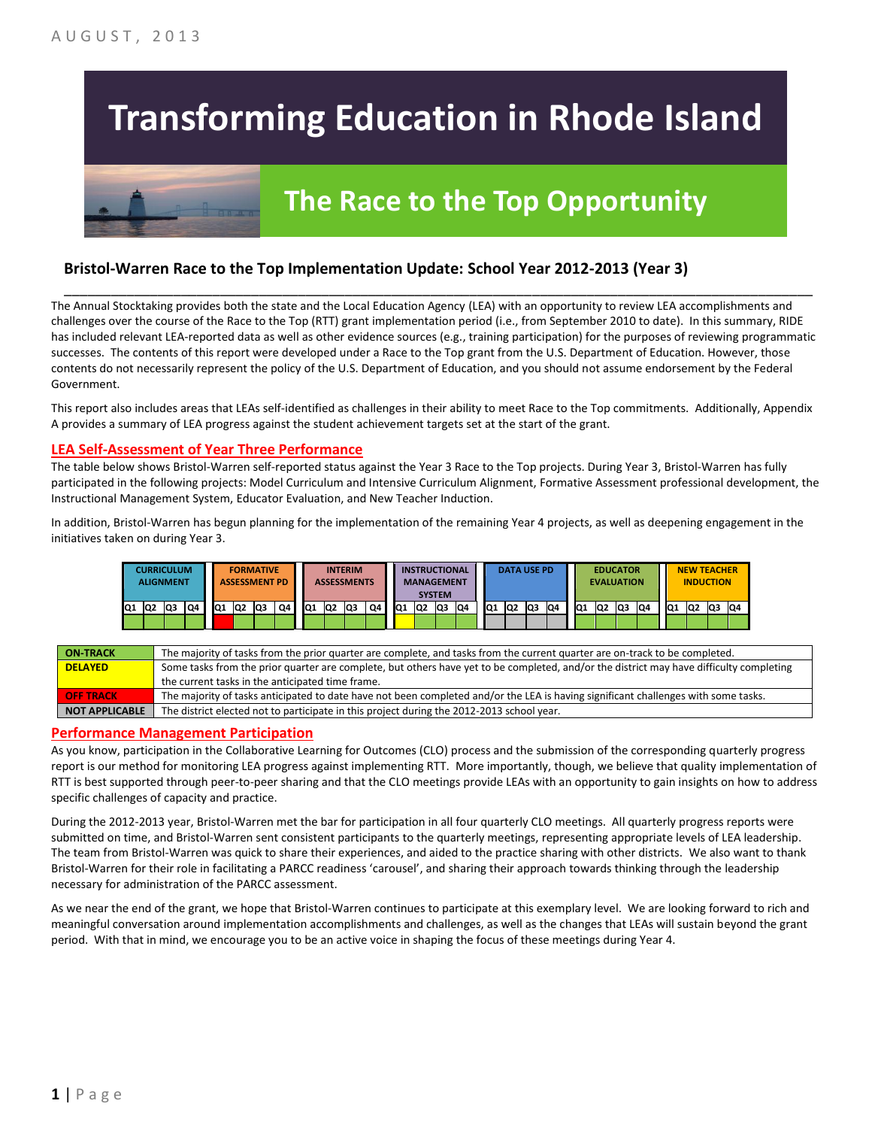# **Transforming Education in Rhode Island**

## **The Race to the Top Opportunity**

#### **Bristol-Warren Race to the Top Implementation Update: School Year 2012-2013 (Year 3)**

The Annual Stocktaking provides both the state and the Local Education Agency (LEA) with an opportunity to review LEA accomplishments and challenges over the course of the Race to the Top (RTT) grant implementation period (i.e., from September 2010 to date). In this summary, RIDE has included relevant LEA-reported data as well as other evidence sources (e.g., training participation) for the purposes of reviewing programmatic successes. The contents of this report were developed under a Race to the Top grant from the U.S. Department of Education. However, those contents do not necessarily represent the policy of the U.S. Department of Education, and you should not assume endorsement by the Federal Government.

\_\_\_\_\_\_\_\_\_\_\_\_\_\_\_\_\_\_\_\_\_\_\_\_\_\_\_\_\_\_\_\_\_\_\_\_\_\_\_\_\_\_\_\_\_\_\_\_\_\_\_\_\_\_\_\_\_\_\_\_\_\_\_\_\_\_\_\_\_\_\_\_\_\_\_\_\_\_\_\_\_\_\_\_\_\_\_\_\_\_\_\_\_\_\_\_

This report also includes areas that LEAs self-identified as challenges in their ability to meet Race to the Top commitments. Additionally, Appendix A provides a summary of LEA progress against the student achievement targets set at the start of the grant.

#### **LEA Self-Assessment of Year Three Performance**

The table below shows Bristol-Warren self-reported status against the Year 3 Race to the Top projects. During Year 3, Bristol-Warren has fully participated in the following projects: Model Curriculum and Intensive Curriculum Alignment, Formative Assessment professional development, the Instructional Management System, Educator Evaluation, and New Teacher Induction.

In addition, Bristol-Warren has begun planning for the implementation of the remaining Year 4 projects, as well as deepening engagement in the initiatives taken on during Year 3.

|     | CURRICULUM<br><b>ALIGNMENT</b> |    |    |    |                | <b>FORMATIVE</b><br><b>ASSESSMENT PD</b> |    |           |                | <b>INTERIM</b><br><b>ASSESSMENTS</b> |    |                 | <b>SYSTEM</b>   | <b>INSTRUCTIONAL</b><br><b>MANAGEMENT</b> |     |                 | <b>DATA USE PD</b> |    |    |                 | <b>EVALUATION</b> | <b>EDUCATOR</b> |    |     | <b>NEW TEACHER</b> | <b>INDUCTION</b> |    |
|-----|--------------------------------|----|----|----|----------------|------------------------------------------|----|-----------|----------------|--------------------------------------|----|-----------------|-----------------|-------------------------------------------|-----|-----------------|--------------------|----|----|-----------------|-------------------|-----------------|----|-----|--------------------|------------------|----|
| IQ1 | Q2                             | Q3 | Q4 | Q1 | Q <sub>2</sub> | lQ3                                      | Q4 | <b>Q1</b> | Q <sub>2</sub> | Q3                                   | Q4 | IQ <sub>1</sub> | IQ <sub>2</sub> | <b>Q3</b>                                 | IQ4 | IQ <sub>1</sub> | IQ <sub>2</sub>    | Q3 | Q4 | IQ <sub>1</sub> | Q <sub>2</sub>    | Q3              | Q4 | IQ1 | Q2                 | Q3               | Q4 |
|     |                                |    |    |    |                |                                          |    |           |                |                                      |    |                 |                 |                                           |     |                 |                    |    |    |                 |                   |                 |    |     |                    |                  |    |

| <b>ON-TRACK</b>  | The majority of tasks from the prior quarter are complete, and tasks from the current quarter are on-track to be completed.             |
|------------------|-----------------------------------------------------------------------------------------------------------------------------------------|
| <b>DELAYED</b>   | Some tasks from the prior quarter are complete, but others have yet to be completed, and/or the district may have difficulty completing |
|                  | the current tasks in the anticipated time frame.                                                                                        |
| <b>OFF TRACK</b> | The majority of tasks anticipated to date have not been completed and/or the LEA is having significant challenges with some tasks.      |
| NOT APPLICABLE   | The district elected not to participate in this project during the 2012-2013 school year.                                               |

#### **Performance Management Participation**

As you know, participation in the Collaborative Learning for Outcomes (CLO) process and the submission of the corresponding quarterly progress report is our method for monitoring LEA progress against implementing RTT. More importantly, though, we believe that quality implementation of RTT is best supported through peer-to-peer sharing and that the CLO meetings provide LEAs with an opportunity to gain insights on how to address specific challenges of capacity and practice.

During the 2012-2013 year, Bristol-Warren met the bar for participation in all four quarterly CLO meetings. All quarterly progress reports were submitted on time, and Bristol-Warren sent consistent participants to the quarterly meetings, representing appropriate levels of LEA leadership. The team from Bristol-Warren was quick to share their experiences, and aided to the practice sharing with other districts. We also want to thank Bristol-Warren for their role in facilitating a PARCC readiness 'carousel', and sharing their approach towards thinking through the leadership necessary for administration of the PARCC assessment.

As we near the end of the grant, we hope that Bristol-Warren continues to participate at this exemplary level. We are looking forward to rich and meaningful conversation around implementation accomplishments and challenges, as well as the changes that LEAs will sustain beyond the grant period. With that in mind, we encourage you to be an active voice in shaping the focus of these meetings during Year 4.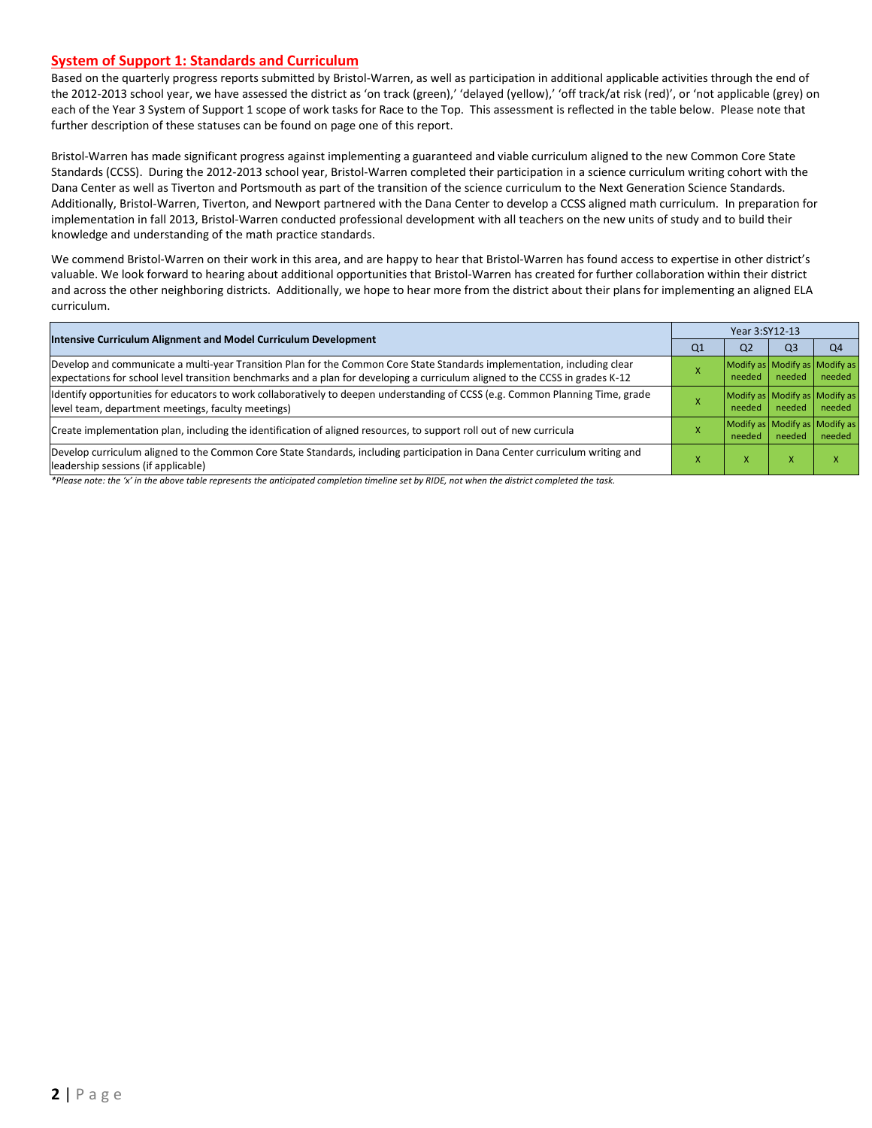#### **System of Support 1: Standards and Curriculum**

Based on the quarterly progress reports submitted by Bristol-Warren, as well as participation in additional applicable activities through the end of the 2012-2013 school year, we have assessed the district as 'on track (green),' 'delayed (yellow),' 'off track/at risk (red)', or 'not applicable (grey) on each of the Year 3 System of Support 1 scope of work tasks for Race to the Top. This assessment is reflected in the table below. Please note that further description of these statuses can be found on page one of this report.

Bristol-Warren has made significant progress against implementing a guaranteed and viable curriculum aligned to the new Common Core State Standards (CCSS). During the 2012-2013 school year, Bristol-Warren completed their participation in a science curriculum writing cohort with the Dana Center as well as Tiverton and Portsmouth as part of the transition of the science curriculum to the Next Generation Science Standards. Additionally, Bristol-Warren, Tiverton, and Newport partnered with the Dana Center to develop a CCSS aligned math curriculum. In preparation for implementation in fall 2013, Bristol-Warren conducted professional development with all teachers on the new units of study and to build their knowledge and understanding of the math practice standards.

We commend Bristol-Warren on their work in this area, and are happy to hear that Bristol-Warren has found access to expertise in other district's valuable. We look forward to hearing about additional opportunities that Bristol-Warren has created for further collaboration within their district and across the other neighboring districts. Additionally, we hope to hear more from the district about their plans for implementing an aligned ELA curriculum.

| Intensive Curriculum Alignment and Model Curriculum Development                                                                                                                                                                                           | Year 3:SY12-13 |                                         |        |                                         |  |  |
|-----------------------------------------------------------------------------------------------------------------------------------------------------------------------------------------------------------------------------------------------------------|----------------|-----------------------------------------|--------|-----------------------------------------|--|--|
|                                                                                                                                                                                                                                                           | Q1             | Q <sub>2</sub>                          | Q3     | Q4                                      |  |  |
| Develop and communicate a multi-year Transition Plan for the Common Core State Standards implementation, including clear<br>expectations for school level transition benchmarks and a plan for developing a curriculum aligned to the CCSS in grades K-12 |                | Modify as Modify as Modify as<br>needed | needed | needed                                  |  |  |
| Identify opportunities for educators to work collaboratively to deepen understanding of CCSS (e.g. Common Planning Time, grade<br>level team, department meetings, faculty meetings)                                                                      |                | Modify as Modify as Modify as<br>needed | needed | needed                                  |  |  |
| Create implementation plan, including the identification of aligned resources, to support roll out of new curricula                                                                                                                                       |                | needed                                  | needed | Modify as Modify as Modify as<br>needed |  |  |
| Develop curriculum aligned to the Common Core State Standards, including participation in Dana Center curriculum writing and<br>leadership sessions (if applicable)                                                                                       |                | $\lambda$                               |        |                                         |  |  |

*\*Please note: the 'x' in the above table represents the anticipated completion timeline set by RIDE, not when the district completed the task.*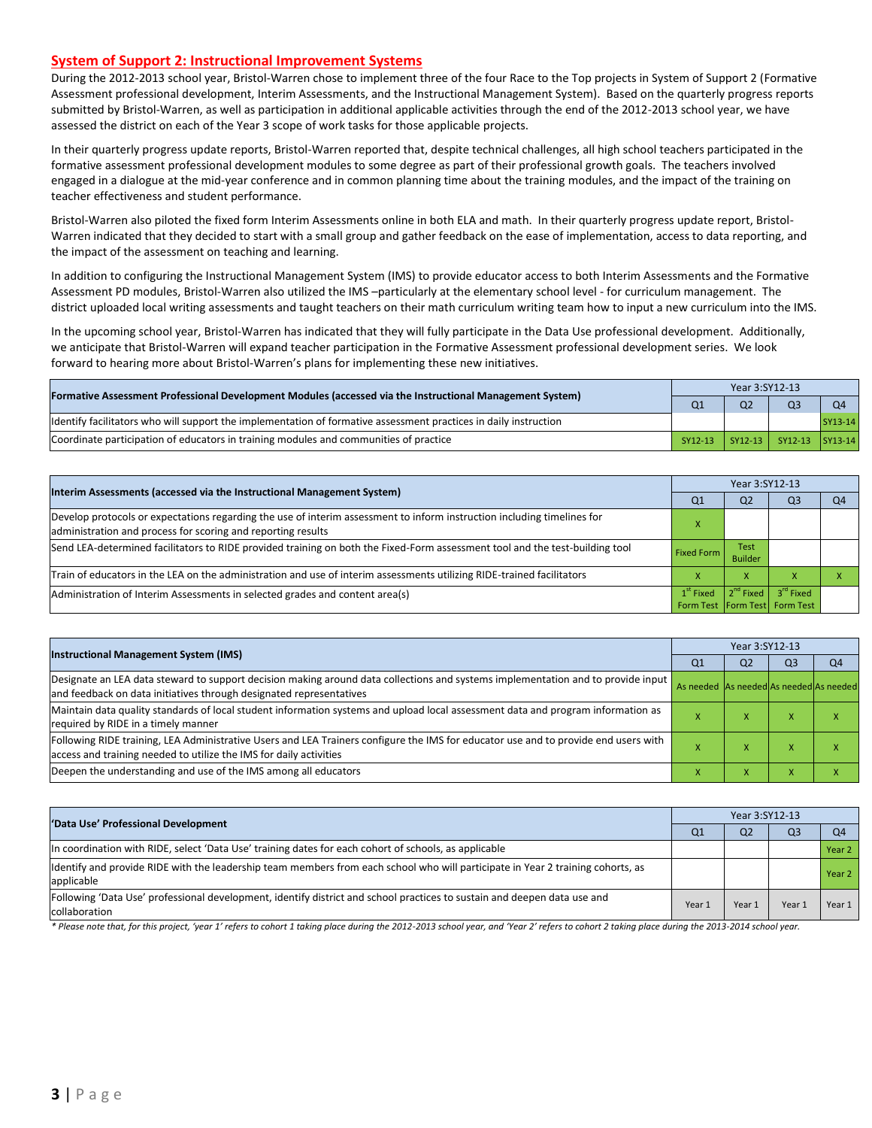#### **System of Support 2: Instructional Improvement Systems**

During the 2012-2013 school year, Bristol-Warren chose to implement three of the four Race to the Top projects in System of Support 2 (Formative Assessment professional development, Interim Assessments, and the Instructional Management System). Based on the quarterly progress reports submitted by Bristol-Warren, as well as participation in additional applicable activities through the end of the 2012-2013 school year, we have assessed the district on each of the Year 3 scope of work tasks for those applicable projects.

In their quarterly progress update reports, Bristol-Warren reported that, despite technical challenges, all high school teachers participated in the formative assessment professional development modules to some degree as part of their professional growth goals. The teachers involved engaged in a dialogue at the mid-year conference and in common planning time about the training modules, and the impact of the training on teacher effectiveness and student performance.

Bristol-Warren also piloted the fixed form Interim Assessments online in both ELA and math. In their quarterly progress update report, Bristol-Warren indicated that they decided to start with a small group and gather feedback on the ease of implementation, access to data reporting, and the impact of the assessment on teaching and learning.

In addition to configuring the Instructional Management System (IMS) to provide educator access to both Interim Assessments and the Formative Assessment PD modules, Bristol-Warren also utilized the IMS –particularly at the elementary school level - for curriculum management. The district uploaded local writing assessments and taught teachers on their math curriculum writing team how to input a new curriculum into the IMS.

In the upcoming school year, Bristol-Warren has indicated that they will fully participate in the Data Use professional development. Additionally, we anticipate that Bristol-Warren will expand teacher participation in the Formative Assessment professional development series. We look forward to hearing more about Bristol-Warren's plans for implementing these new initiatives.

| [Formative Assessment Professional Development Modules (accessed via the Instructional Management System)        |                | Year 3:SY12-13 |                         |         |  |  |  |
|------------------------------------------------------------------------------------------------------------------|----------------|----------------|-------------------------|---------|--|--|--|
|                                                                                                                  | Q <sub>1</sub> | Q <sub>2</sub> |                         |         |  |  |  |
| ldentify facilitators who will support the implementation of formative assessment practices in daily instruction |                |                |                         | SY13-14 |  |  |  |
| Coordinate participation of educators in training modules and communities of practice                            | SY12-13        |                | SY12-13 SY12-13 SY13-14 |         |  |  |  |

|                                                                                                                                                                                         | Year 3:SY12-13                                   |                               |                         |                |  |  |
|-----------------------------------------------------------------------------------------------------------------------------------------------------------------------------------------|--------------------------------------------------|-------------------------------|-------------------------|----------------|--|--|
| Interim Assessments (accessed via the Instructional Management System)                                                                                                                  | Q <sub>1</sub>                                   | Q <sub>2</sub>                | Q <sub>3</sub>          | O <sub>4</sub> |  |  |
| Develop protocols or expectations regarding the use of interim assessment to inform instruction including timelines for<br>administration and process for scoring and reporting results |                                                  |                               |                         |                |  |  |
| Send LEA-determined facilitators to RIDE provided training on both the Fixed-Form assessment tool and the test-building tool                                                            | <b>Fixed Form</b>                                | <b>Test</b><br><b>Builder</b> |                         |                |  |  |
| Train of educators in the LEA on the administration and use of interim assessments utilizing RIDE-trained facilitators                                                                  |                                                  | X                             |                         |                |  |  |
| Administration of Interim Assessments in selected grades and content area(s)                                                                                                            | $1st$ Fixed<br>Form Test   Form Test   Form Test |                               | $2nd$ Fixed $3rd$ Fixed |                |  |  |

|                                                                                                                                                                                                           | Year 3:SY12-13                          |                |                |                |  |  |
|-----------------------------------------------------------------------------------------------------------------------------------------------------------------------------------------------------------|-----------------------------------------|----------------|----------------|----------------|--|--|
| <b>Instructional Management System (IMS)</b>                                                                                                                                                              | Q <sub>1</sub>                          | Q <sub>2</sub> | Q <sub>3</sub> | Q <sub>4</sub> |  |  |
| Designate an LEA data steward to support decision making around data collections and systems implementation and to provide input<br>and feedback on data initiatives through designated representatives   | As needed As needed As needed As needed |                |                |                |  |  |
| Maintain data quality standards of local student information systems and upload local assessment data and program information as<br>required by RIDE in a timely manner                                   |                                         | $\mathbf{v}$   |                |                |  |  |
| Following RIDE training, LEA Administrative Users and LEA Trainers configure the IMS for educator use and to provide end users with<br>access and training needed to utilize the IMS for daily activities |                                         |                |                |                |  |  |
| Deepen the understanding and use of the IMS among all educators                                                                                                                                           |                                         |                |                |                |  |  |

| 'Data Use' Professional Development                                                                                                           |                |        | Year 3:SY12-13 |                |           |  |  |  |
|-----------------------------------------------------------------------------------------------------------------------------------------------|----------------|--------|----------------|----------------|-----------|--|--|--|
|                                                                                                                                               | Q <sub>1</sub> |        | Q <sub>2</sub> | Q <sub>3</sub> | <b>O4</b> |  |  |  |
| In coordination with RIDE, select 'Data Use' training dates for each cohort of schools, as applicable                                         |                |        |                |                | Year 2    |  |  |  |
| Identify and provide RIDE with the leadership team members from each school who will participate in Year 2 training cohorts, as<br>applicable |                |        |                |                | Year 2    |  |  |  |
| Following 'Data Use' professional development, identify district and school practices to sustain and deepen data use and<br>collaboration     |                | Year 1 | Year 1         | Year.          | Year 1    |  |  |  |

\* Please note that, for this project, 'year 1' refers to cohort 1 taking place during the 2012-2013 school year, and 'Year 2' refers to cohort 2 taking place during the 2013-2014 school year.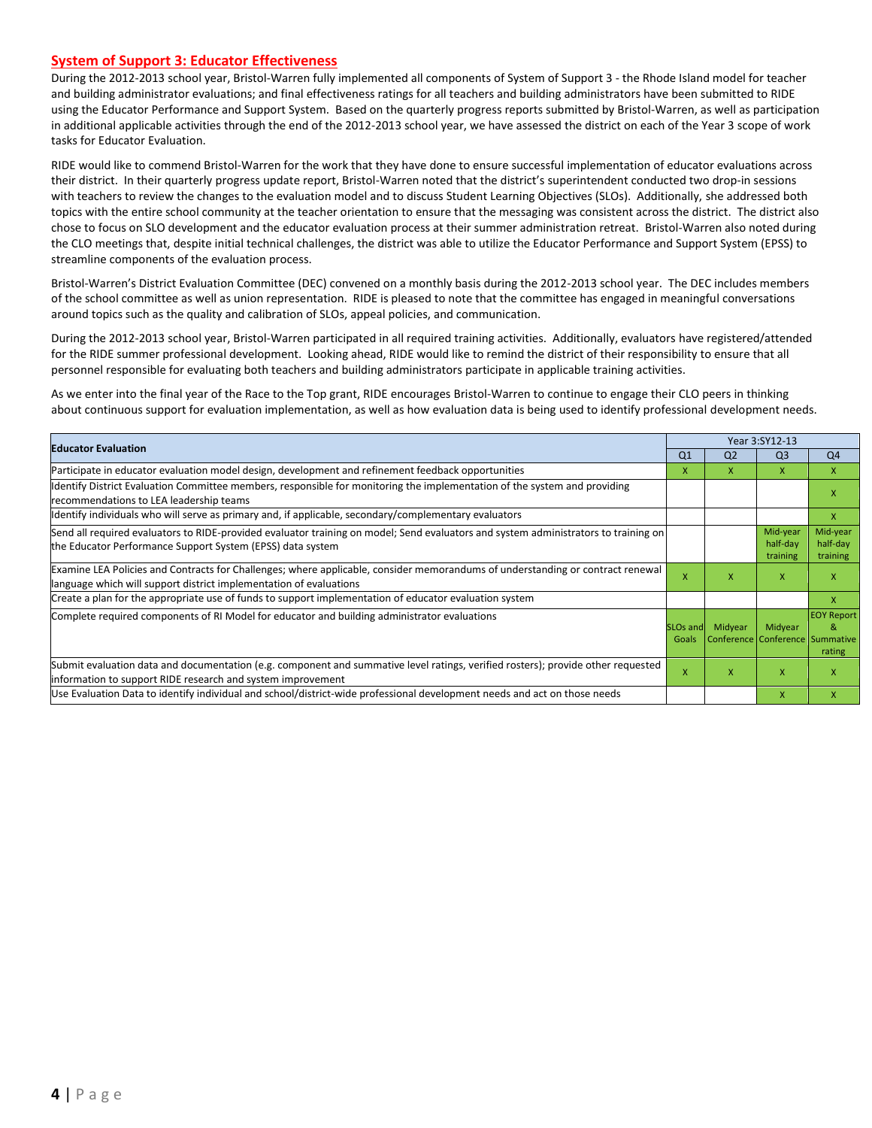#### **System of Support 3: Educator Effectiveness**

During the 2012-2013 school year, Bristol-Warren fully implemented all components of System of Support 3 - the Rhode Island model for teacher and building administrator evaluations; and final effectiveness ratings for all teachers and building administrators have been submitted to RIDE using the Educator Performance and Support System. Based on the quarterly progress reports submitted by Bristol-Warren, as well as participation in additional applicable activities through the end of the 2012-2013 school year, we have assessed the district on each of the Year 3 scope of work tasks for Educator Evaluation.

RIDE would like to commend Bristol-Warren for the work that they have done to ensure successful implementation of educator evaluations across their district. In their quarterly progress update report, Bristol-Warren noted that the district's superintendent conducted two drop-in sessions with teachers to review the changes to the evaluation model and to discuss Student Learning Objectives (SLOs). Additionally, she addressed both topics with the entire school community at the teacher orientation to ensure that the messaging was consistent across the district. The district also chose to focus on SLO development and the educator evaluation process at their summer administration retreat. Bristol-Warren also noted during the CLO meetings that, despite initial technical challenges, the district was able to utilize the Educator Performance and Support System (EPSS) to streamline components of the evaluation process.

Bristol-Warren's District Evaluation Committee (DEC) convened on a monthly basis during the 2012-2013 school year. The DEC includes members of the school committee as well as union representation. RIDE is pleased to note that the committee has engaged in meaningful conversations around topics such as the quality and calibration of SLOs, appeal policies, and communication.

During the 2012-2013 school year, Bristol-Warren participated in all required training activities. Additionally, evaluators have registered/attended for the RIDE summer professional development. Looking ahead, RIDE would like to remind the district of their responsibility to ensure that all personnel responsible for evaluating both teachers and building administrators participate in applicable training activities.

As we enter into the final year of the Race to the Top grant, RIDE encourages Bristol-Warren to continue to engage their CLO peers in thinking about continuous support for evaluation implementation, as well as how evaluation data is being used to identify professional development needs.

|                                                                                                                                                                                                      |                               |                                            | Year 3:SY12-13                   |                                  |  |
|------------------------------------------------------------------------------------------------------------------------------------------------------------------------------------------------------|-------------------------------|--------------------------------------------|----------------------------------|----------------------------------|--|
| <b>Educator Evaluation</b>                                                                                                                                                                           | Q <sub>1</sub>                | Q <sub>2</sub>                             | Q <sub>3</sub>                   | Q <sub>4</sub>                   |  |
| Participate in educator evaluation model design, development and refinement feedback opportunities                                                                                                   | X                             | x                                          | X                                | X                                |  |
| Identify District Evaluation Committee members, responsible for monitoring the implementation of the system and providing<br>recommendations to LEA leadership teams                                 |                               |                                            |                                  | X                                |  |
| Identify individuals who will serve as primary and, if applicable, secondary/complementary evaluators                                                                                                |                               |                                            |                                  | $\mathsf{X}$                     |  |
| Send all required evaluators to RIDE-provided evaluator training on model; Send evaluators and system administrators to training on<br>the Educator Performance Support System (EPSS) data system    |                               |                                            | Mid-year<br>half-day<br>training | Mid-year<br>half-day<br>training |  |
| Examine LEA Policies and Contracts for Challenges; where applicable, consider memorandums of understanding or contract renewal<br>language which will support district implementation of evaluations | x                             | x                                          | x                                | X                                |  |
| Create a plan for the appropriate use of funds to support implementation of educator evaluation system                                                                                               |                               |                                            |                                  | X                                |  |
| Complete required components of RI Model for educator and building administrator evaluations                                                                                                         | SLO <sub>s</sub> and<br>Goals | Midyear<br>Conference Conference Summative | Midyear                          | <b>EOY Report</b><br>&<br>rating |  |
| Submit evaluation data and documentation (e.g. component and summative level ratings, verified rosters); provide other requested<br>information to support RIDE research and system improvement      | x                             | x                                          | X                                | X                                |  |
| Use Evaluation Data to identify individual and school/district-wide professional development needs and act on those needs                                                                            |                               |                                            | X                                | X                                |  |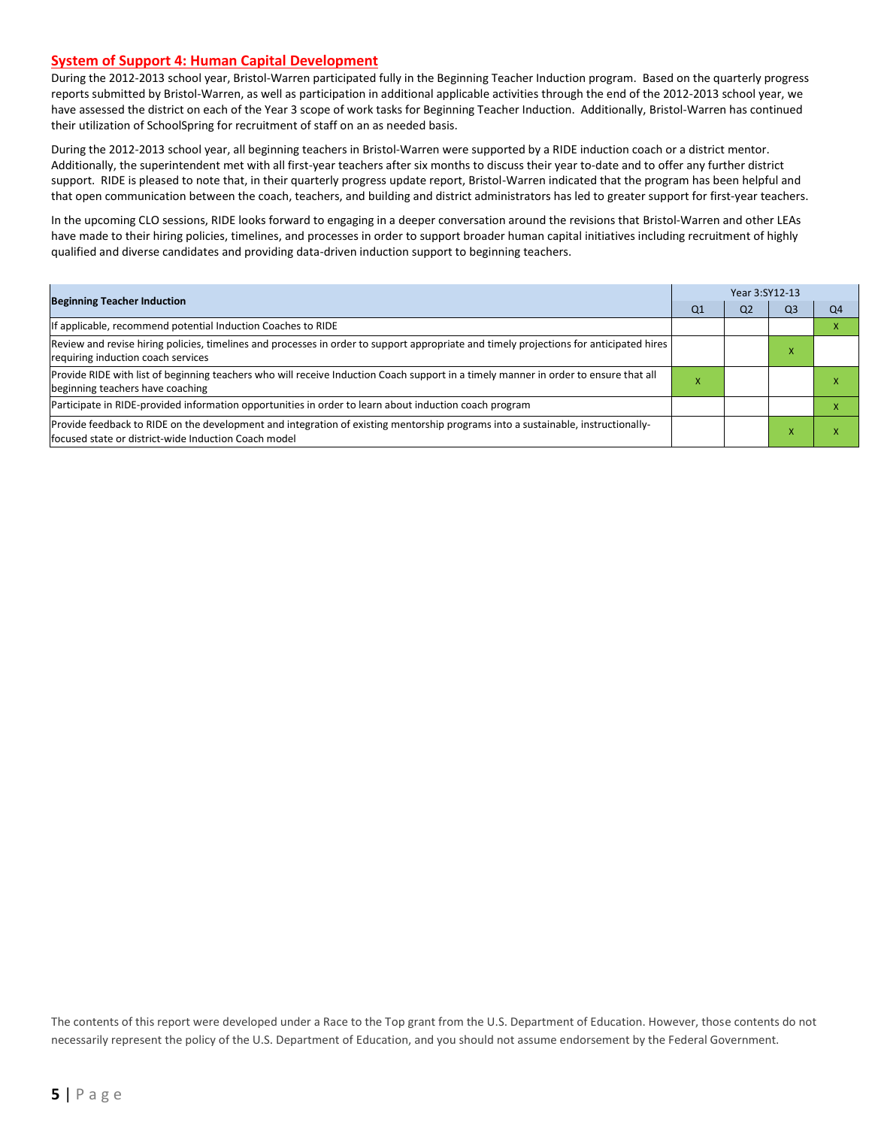#### **System of Support 4: Human Capital Development**

During the 2012-2013 school year, Bristol-Warren participated fully in the Beginning Teacher Induction program. Based on the quarterly progress reports submitted by Bristol-Warren, as well as participation in additional applicable activities through the end of the 2012-2013 school year, we have assessed the district on each of the Year 3 scope of work tasks for Beginning Teacher Induction. Additionally, Bristol-Warren has continued their utilization of SchoolSpring for recruitment of staff on an as needed basis.

During the 2012-2013 school year, all beginning teachers in Bristol-Warren were supported by a RIDE induction coach or a district mentor. Additionally, the superintendent met with all first-year teachers after six months to discuss their year to-date and to offer any further district support. RIDE is pleased to note that, in their quarterly progress update report, Bristol-Warren indicated that the program has been helpful and that open communication between the coach, teachers, and building and district administrators has led to greater support for first-year teachers.

In the upcoming CLO sessions, RIDE looks forward to engaging in a deeper conversation around the revisions that Bristol-Warren and other LEAs have made to their hiring policies, timelines, and processes in order to support broader human capital initiatives including recruitment of highly qualified and diverse candidates and providing data-driven induction support to beginning teachers.

| <b>Beginning Teacher Induction</b>                                                                                                                                                       |    | Year 3:SY12-13 |    |    |  |  |  |
|------------------------------------------------------------------------------------------------------------------------------------------------------------------------------------------|----|----------------|----|----|--|--|--|
|                                                                                                                                                                                          | Q1 | Q2             | Q3 | Q4 |  |  |  |
| If applicable, recommend potential Induction Coaches to RIDE                                                                                                                             |    |                |    |    |  |  |  |
| Review and revise hiring policies, timelines and processes in order to support appropriate and timely projections for anticipated hires<br>requiring induction coach services            |    |                |    |    |  |  |  |
| Provide RIDE with list of beginning teachers who will receive Induction Coach support in a timely manner in order to ensure that all<br>beginning teachers have coaching                 |    |                |    |    |  |  |  |
| Participate in RIDE-provided information opportunities in order to learn about induction coach program                                                                                   |    |                |    |    |  |  |  |
| Provide feedback to RIDE on the development and integration of existing mentorship programs into a sustainable, instructionally-<br>focused state or district-wide Induction Coach model |    |                |    |    |  |  |  |

The contents of this report were developed under a Race to the Top grant from the U.S. Department of Education. However, those contents do not necessarily represent the policy of the U.S. Department of Education, and you should not assume endorsement by the Federal Government.